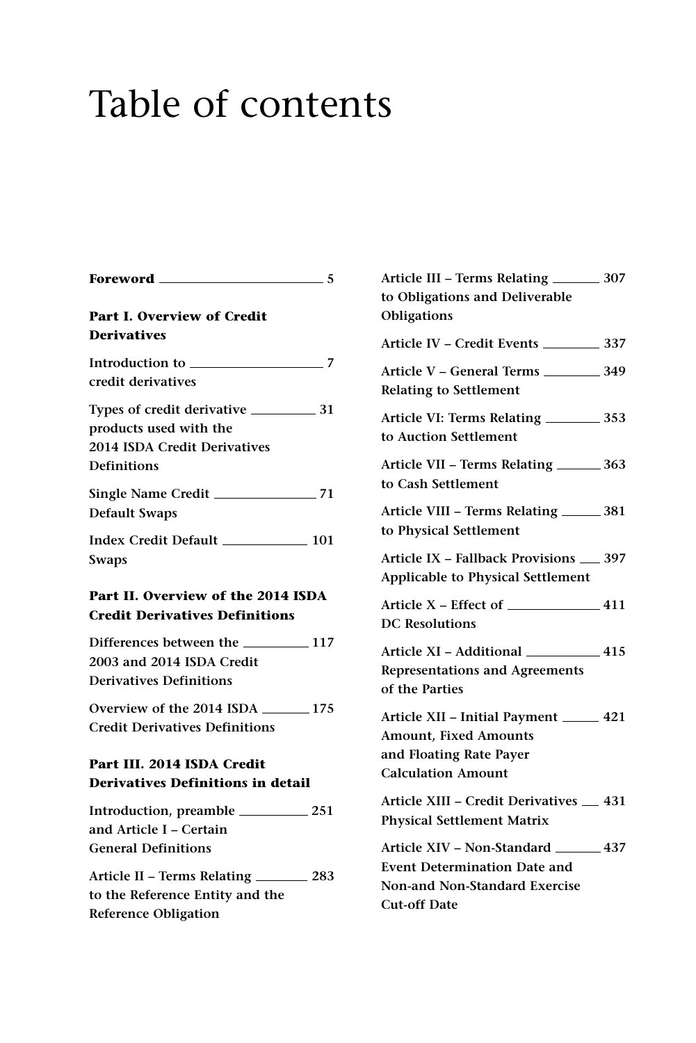## Table of contents

| Foreword ______                                                                                               | $-5$ |
|---------------------------------------------------------------------------------------------------------------|------|
| <b>Part I. Overview of Credit</b><br><b>Derivatives</b>                                                       |      |
| credit derivatives                                                                                            |      |
| products used with the<br>2014 ISDA Credit Derivatives<br><b>Definitions</b>                                  |      |
| <b>Default Swaps</b>                                                                                          |      |
| Swaps                                                                                                         |      |
| Part II. Overview of the 2014 ISDA<br><b>Credit Derivatives Definitions</b>                                   |      |
| 2003 and 2014 ISDA Credit<br><b>Derivatives Definitions</b>                                                   |      |
| Overview of the 2014 ISDA 2001-175<br><b>Credit Derivatives Definitions</b>                                   |      |
| Part III. 2014 ISDA Credit<br><b>Derivatives Definitions in detail</b>                                        |      |
| and Article I – Certain<br><b>General Definitions</b>                                                         |      |
| Article II – Terms Relating ___________ 283<br>to the Reference Entity and the<br><b>Reference Obligation</b> |      |

| Article III - Terms Relating __________ 307<br>to Obligations and Deliverable<br>Obligations                                                  |  |
|-----------------------------------------------------------------------------------------------------------------------------------------------|--|
|                                                                                                                                               |  |
| Article V - General Terms ___________ 349<br><b>Relating to Settlement</b>                                                                    |  |
| Article VI: Terms Relating ___________ 353<br>to Auction Settlement                                                                           |  |
| Article VII - Terms Relating _________ 363<br>to Cash Settlement                                                                              |  |
| Article VIII - Terms Relating ________ 381<br>to Physical Settlement                                                                          |  |
| Article IX - Fallback Provisions __ 397<br><b>Applicable to Physical Settlement</b>                                                           |  |
| Article $X$ – Effect of $\_\_\_\_\_$ 411<br><b>DC</b> Resolutions                                                                             |  |
| Article XI - Additional _____________ 415<br><b>Representations and Agreements</b><br>of the Parties                                          |  |
| Article XII - Initial Payment ______ 421<br><b>Amount, Fixed Amounts</b><br>and Floating Rate Payer<br><b>Calculation Amount</b>              |  |
| Article XIII - Credit Derivatives _ 431<br><b>Physical Settlement Matrix</b>                                                                  |  |
| Article XIV – Non-Standard ________ 437<br><b>Event Determination Date and</b><br><b>Non-and Non-Standard Exercise</b><br><b>Cut-off Date</b> |  |